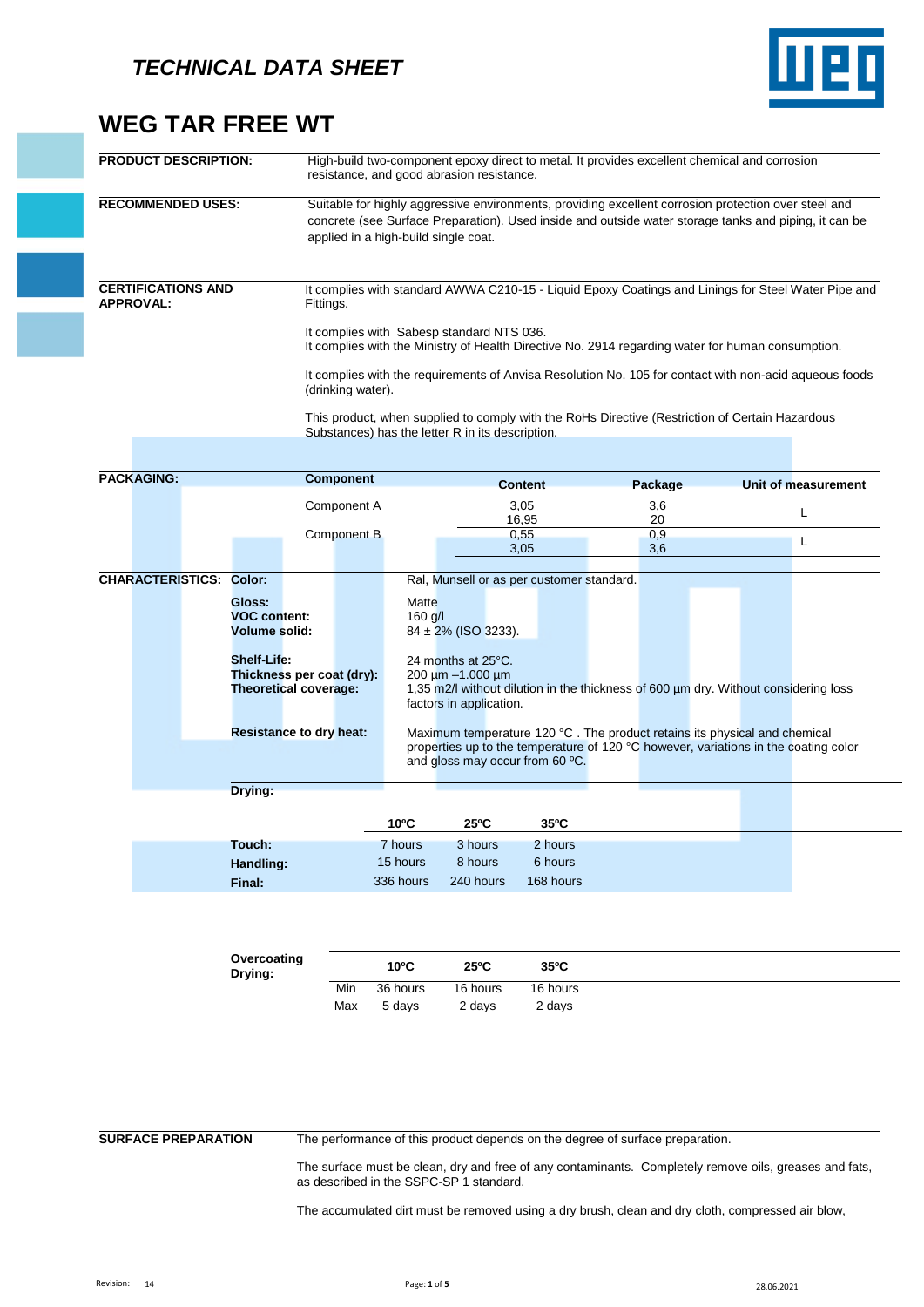

# **WEG TAR FREE WT**

| <b>PRODUCT DESCRIPTION:</b>                   |                                                                                                          |                                                                                                                                                                                                                                                       |                    | resistance, and good abrasion resistance.                              |                        |                  | High-build two-component epoxy direct to metal. It provides excellent chemical and corrosion                                                                              |                                                                                                        |
|-----------------------------------------------|----------------------------------------------------------------------------------------------------------|-------------------------------------------------------------------------------------------------------------------------------------------------------------------------------------------------------------------------------------------------------|--------------------|------------------------------------------------------------------------|------------------------|------------------|---------------------------------------------------------------------------------------------------------------------------------------------------------------------------|--------------------------------------------------------------------------------------------------------|
| <b>RECOMMENDED USES:</b>                      |                                                                                                          | Suitable for highly aggressive environments, providing excellent corrosion protection over steel and<br>concrete (see Surface Preparation). Used inside and outside water storage tanks and piping, it can be<br>applied in a high-build single coat. |                    |                                                                        |                        |                  |                                                                                                                                                                           |                                                                                                        |
| <b>CERTIFICATIONS AND</b><br><b>APPROVAL:</b> |                                                                                                          | Fittings.                                                                                                                                                                                                                                             |                    | It complies with Sabesp standard NTS 036.                              |                        |                  | It complies with the Ministry of Health Directive No. 2914 regarding water for human consumption.                                                                         | It complies with standard AWWA C210-15 - Liquid Epoxy Coatings and Linings for Steel Water Pipe and    |
|                                               |                                                                                                          | (drinking water).                                                                                                                                                                                                                                     |                    | Substances) has the letter R in its description.                       |                        |                  | This product, when supplied to comply with the RoHs Directive (Restriction of Certain Hazardous                                                                           | It complies with the requirements of Anvisa Resolution No. 105 for contact with non-acid aqueous foods |
| <b>PACKAGING:</b>                             |                                                                                                          | <b>Component</b>                                                                                                                                                                                                                                      |                    |                                                                        |                        |                  |                                                                                                                                                                           |                                                                                                        |
|                                               |                                                                                                          | Component A                                                                                                                                                                                                                                           |                    |                                                                        | <b>Content</b><br>3,05 | Package<br>3,6   |                                                                                                                                                                           | Unit of measurement<br>L                                                                               |
|                                               |                                                                                                          |                                                                                                                                                                                                                                                       |                    |                                                                        |                        |                  |                                                                                                                                                                           |                                                                                                        |
|                                               |                                                                                                          | Component B                                                                                                                                                                                                                                           |                    |                                                                        | 16,95<br>0,55<br>3,05  | 20<br>0,9<br>3,6 |                                                                                                                                                                           | L                                                                                                      |
| <b>CHARACTERISTICS: Color:</b>                |                                                                                                          |                                                                                                                                                                                                                                                       |                    | Ral, Munsell or as per customer standard.                              |                        |                  |                                                                                                                                                                           |                                                                                                        |
|                                               | Gloss:<br><b>VOC content:</b><br><b>Volume solid:</b><br><b>Shelf-Life:</b><br>Thickness per coat (dry): |                                                                                                                                                                                                                                                       | Matte<br>$160$ g/l | 84 ± 2% (ISO 3233).<br>24 months at 25°C.<br>$200 \mu m - 1.000 \mu m$ |                        |                  |                                                                                                                                                                           |                                                                                                        |
|                                               | <b>Theoretical coverage:</b>                                                                             |                                                                                                                                                                                                                                                       |                    | factors in application.                                                |                        |                  | 1,35 m2/l without dilution in the thickness of 600 um dry. Without considering loss                                                                                       |                                                                                                        |
|                                               | <b>Resistance to dry heat:</b>                                                                           |                                                                                                                                                                                                                                                       |                    | and gloss may occur from 60 °C.                                        |                        |                  | Maximum temperature 120 $\degree$ C. The product retains its physical and chemical<br>properties up to the temperature of 120 °C however, variations in the coating color |                                                                                                        |
|                                               | Drying:                                                                                                  |                                                                                                                                                                                                                                                       |                    |                                                                        |                        |                  |                                                                                                                                                                           |                                                                                                        |
|                                               |                                                                                                          |                                                                                                                                                                                                                                                       | $10^{\circ}$ C     | $25^{\circ}$ C                                                         | 35°C                   |                  |                                                                                                                                                                           |                                                                                                        |
|                                               | Touch:                                                                                                   |                                                                                                                                                                                                                                                       | 7 hours            | 3 hours                                                                | 2 hours                |                  |                                                                                                                                                                           |                                                                                                        |
|                                               | Handling:                                                                                                |                                                                                                                                                                                                                                                       | 15 hours           | 8 hours                                                                | 6 hours                |                  |                                                                                                                                                                           |                                                                                                        |

| Overcoating<br>Drying: |     | $10^{\circ}$ C | $25^{\circ}$ C | $35^{\circ}$ C |
|------------------------|-----|----------------|----------------|----------------|
|                        | Min | 36 hours       | 16 hours       | 16 hours       |
|                        | Max | 5 davs         | 2 days         | 2 davs         |

**SURFACE PREPARATION** The performance of this product depends on the degree of surface preparation.

The surface must be clean, dry and free of any contaminants. Completely remove oils, greases and fats, as described in the SSPC-SP 1 standard.

The accumulated dirt must be removed using a dry brush, clean and dry cloth, compressed air blow,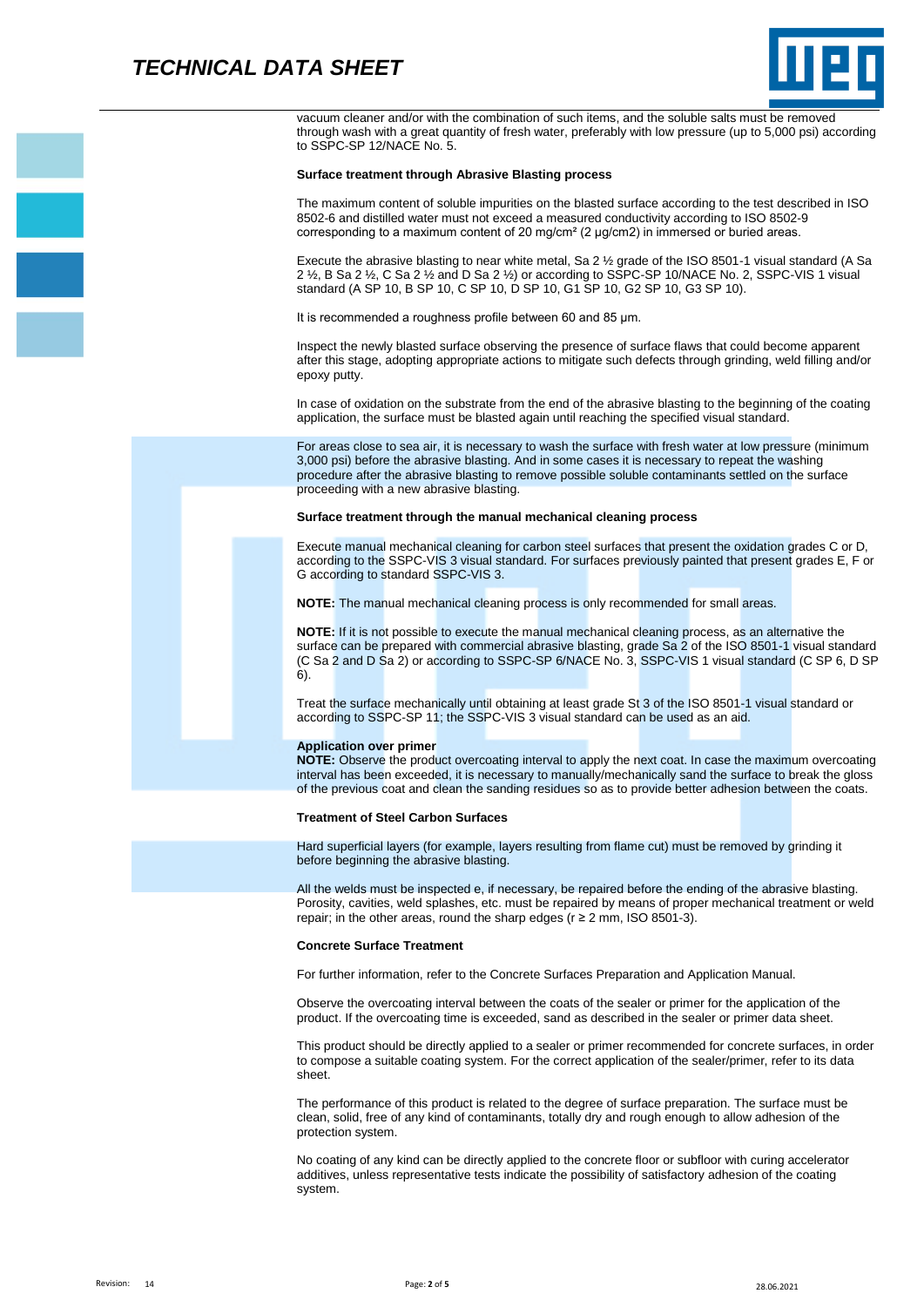

vacuum cleaner and/or with the combination of such items, and the soluble salts must be removed through wash with a great quantity of fresh water, preferably with low pressure (up to 5,000 psi) according to SSPC-SP 12/NACE No. 5.

### **Surface treatment through Abrasive Blasting process**

The maximum content of soluble impurities on the blasted surface according to the test described in ISO 8502-6 and distilled water must not exceed a measured conductivity according to ISO 8502-9 corresponding to a maximum content of 20 mg/cm² (2 μg/cm2) in immersed or buried areas.

Execute the abrasive blasting to near white metal, Sa 2 ½ grade of the ISO 8501-1 visual standard (A Sa 2 ½, B Sa 2 ½, C Sa 2 ½ and D Sa 2 ½) or according to SSPC-SP 10/NACE No. 2, SSPC-VIS 1 visual standard (A SP 10, B SP 10, C SP 10, D SP 10, G1 SP 10, G2 SP 10, G3 SP 10).

It is recommended a roughness profile between 60 and 85 μm.

Inspect the newly blasted surface observing the presence of surface flaws that could become apparent after this stage, adopting appropriate actions to mitigate such defects through grinding, weld filling and/or epoxy putty.

In case of oxidation on the substrate from the end of the abrasive blasting to the beginning of the coating application, the surface must be blasted again until reaching the specified visual standard.

For areas close to sea air, it is necessary to wash the surface with fresh water at low pressure (minimum 3,000 psi) before the abrasive blasting. And in some cases it is necessary to repeat the washing procedure after the abrasive blasting to remove possible soluble contaminants settled on the surface proceeding with a new abrasive blasting.

### **Surface treatment through the manual mechanical cleaning process**

Execute manual mechanical cleaning for carbon steel surfaces that present the oxidation grades C or D, according to the SSPC-VIS 3 visual standard. For surfaces previously painted that present grades E, F or G according to standard SSPC-VIS 3.

**NOTE:** The manual mechanical cleaning process is only recommended for small areas.

**NOTE:** If it is not possible to execute the manual mechanical cleaning process, as an alternative the surface can be prepared with commercial abrasive blasting, grade Sa 2 of the ISO 8501-1 visual standard (C Sa 2 and D Sa 2) or according to SSPC-SP 6/NACE No. 3, SSPC-VIS 1 visual standard (C SP 6, D SP 6).

Treat the surface mechanically until obtaining at least grade St 3 of the ISO 8501-1 visual standard or according to SSPC-SP 11; the SSPC-VIS 3 visual standard can be used as an aid.

### **Application over primer**

**NOTE:** Observe the product overcoating interval to apply the next coat. In case the maximum overcoating interval has been exceeded, it is necessary to manually/mechanically sand the surface to break the gloss of the previous coat and clean the sanding residues so as to provide better adhesion between the coats.

#### **Treatment of Steel Carbon Surfaces**

Hard superficial layers (for example, layers resulting from flame cut) must be removed by grinding it before beginning the abrasive blasting.

All the welds must be inspected e, if necessary, be repaired before the ending of the abrasive blasting. Porosity, cavities, weld splashes, etc. must be repaired by means of proper mechanical treatment or weld repair; in the other areas, round the sharp edges ( $r \ge 2$  mm, ISO 8501-3).

### **Concrete Surface Treatment**

For further information, refer to the Concrete Surfaces Preparation and Application Manual.

Observe the overcoating interval between the coats of the sealer or primer for the application of the product. If the overcoating time is exceeded, sand as described in the sealer or primer data sheet.

This product should be directly applied to a sealer or primer recommended for concrete surfaces, in order to compose a suitable coating system. For the correct application of the sealer/primer, refer to its data sheet.

The performance of this product is related to the degree of surface preparation. The surface must be clean, solid, free of any kind of contaminants, totally dry and rough enough to allow adhesion of the protection system.

No coating of any kind can be directly applied to the concrete floor or subfloor with curing accelerator additives, unless representative tests indicate the possibility of satisfactory adhesion of the coating system.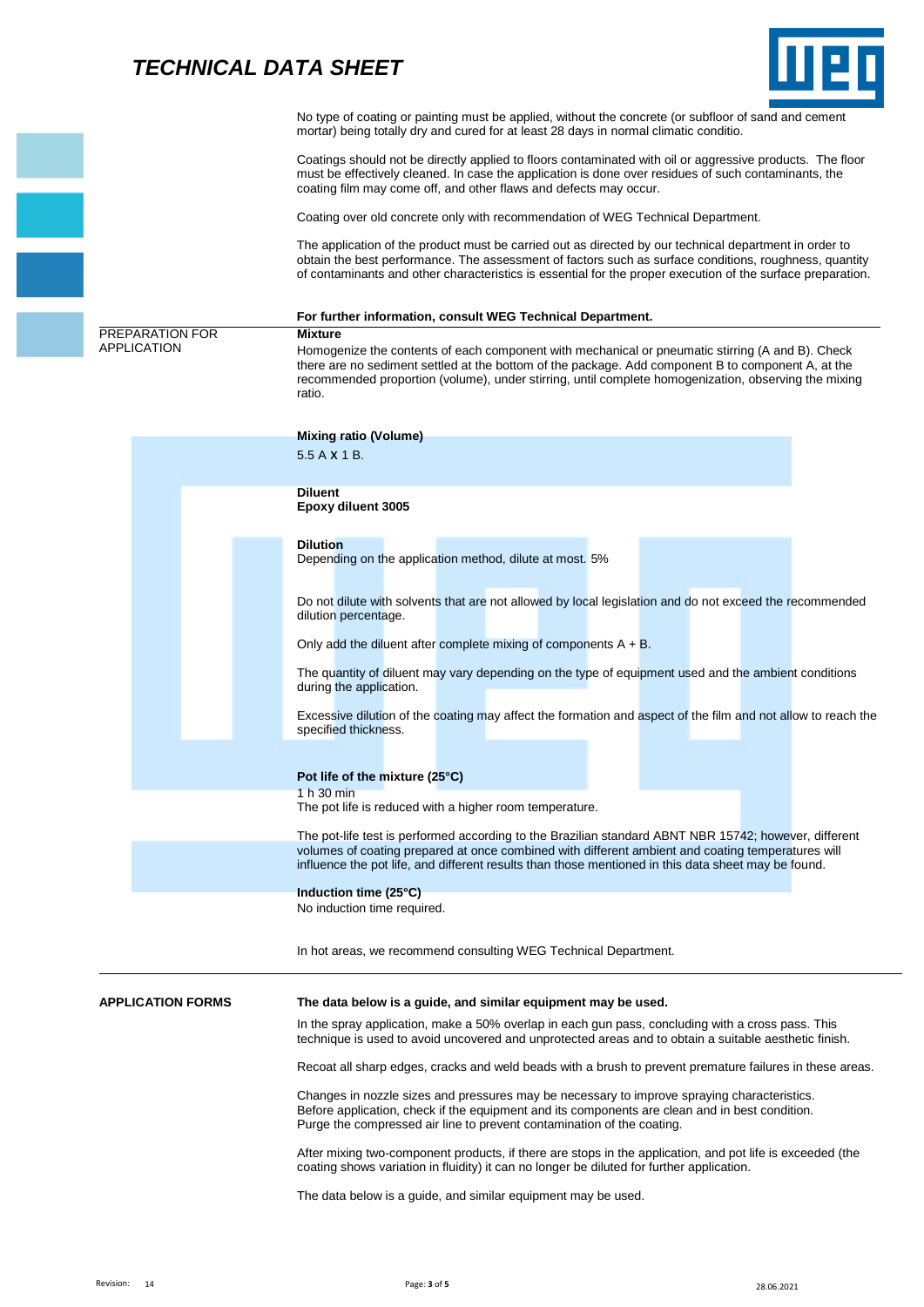# *TECHNICAL DATA SHEET*



|                                       | No type of coating or painting must be applied, without the concrete (or subfloor of sand and cement<br>mortar) being totally dry and cured for at least 28 days in normal climatic conditio.                                                                                                                                              |
|---------------------------------------|--------------------------------------------------------------------------------------------------------------------------------------------------------------------------------------------------------------------------------------------------------------------------------------------------------------------------------------------|
|                                       | Coatings should not be directly applied to floors contaminated with oil or aggressive products. The floor<br>must be effectively cleaned. In case the application is done over residues of such contaminants, the<br>coating film may come off, and other flaws and defects may occur.                                                     |
|                                       | Coating over old concrete only with recommendation of WEG Technical Department.                                                                                                                                                                                                                                                            |
|                                       | The application of the product must be carried out as directed by our technical department in order to<br>obtain the best performance. The assessment of factors such as surface conditions, roughness, quantity<br>of contaminants and other characteristics is essential for the proper execution of the surface preparation.            |
|                                       | For further information, consult WEG Technical Department.                                                                                                                                                                                                                                                                                 |
| PREPARATION FOR<br><b>APPLICATION</b> | <b>Mixture</b><br>Homogenize the contents of each component with mechanical or pneumatic stirring (A and B). Check<br>there are no sediment settled at the bottom of the package. Add component B to component A, at the<br>recommended proportion (volume), under stirring, until complete homogenization, observing the mixing<br>ratio. |
|                                       | <b>Mixing ratio (Volume)</b>                                                                                                                                                                                                                                                                                                               |
|                                       | 5.5 A X 1 B.                                                                                                                                                                                                                                                                                                                               |
|                                       | <b>Diluent</b>                                                                                                                                                                                                                                                                                                                             |
|                                       | <b>Epoxy diluent 3005</b>                                                                                                                                                                                                                                                                                                                  |
|                                       | <b>Dilution</b><br>Depending on the application method, dilute at most. 5%                                                                                                                                                                                                                                                                 |
|                                       | Do not dilute with solvents that are not allowed by local legislation and do not exceed the recommended<br>dilution percentage.                                                                                                                                                                                                            |
|                                       | Only add the diluent after complete mixing of components $A + B$ .                                                                                                                                                                                                                                                                         |
|                                       | The quantity of diluent may vary depending on the type of equipment used and the ambient conditions<br>during the application.                                                                                                                                                                                                             |
|                                       | Excessive dilution of the coating may affect the formation and aspect of the film and not allow to reach the<br>specified thickness.                                                                                                                                                                                                       |
|                                       | Pot life of the mixture (25°C)                                                                                                                                                                                                                                                                                                             |
|                                       | 1 h 30 min<br>The pot life is reduced with a higher room temperature.                                                                                                                                                                                                                                                                      |
|                                       | The pot-life test is performed according to the Brazilian standard ABNT NBR 15742; however, different<br>volumes of coating prepared at once combined with different ambient and coating temperatures will<br>influence the pot life, and different results than those mentioned in this data sheet may be found.                          |
|                                       | Induction time (25°C)<br>No induction time required.                                                                                                                                                                                                                                                                                       |
|                                       | In hot areas, we recommend consulting WEG Technical Department.                                                                                                                                                                                                                                                                            |
| <b>APPLICATION FORMS</b>              | The data below is a guide, and similar equipment may be used.                                                                                                                                                                                                                                                                              |
|                                       | In the spray application, make a 50% overlap in each gun pass, concluding with a cross pass. This<br>technique is used to avoid uncovered and unprotected areas and to obtain a suitable aesthetic finish.                                                                                                                                 |
|                                       | Recoat all sharp edges, cracks and weld beads with a brush to prevent premature failures in these areas.                                                                                                                                                                                                                                   |
|                                       | Changes in nozzle sizes and pressures may be necessary to improve spraying characteristics.<br>Before application, check if the equipment and its components are clean and in best condition.<br>Purge the compressed air line to prevent contamination of the coating.                                                                    |
|                                       | After mixing two-component products, if there are stops in the application, and pot life is exceeded (the<br>coating shows variation in fluidity) it can no longer be diluted for further application.                                                                                                                                     |
|                                       | The data below is a guide, and similar equipment may be used.                                                                                                                                                                                                                                                                              |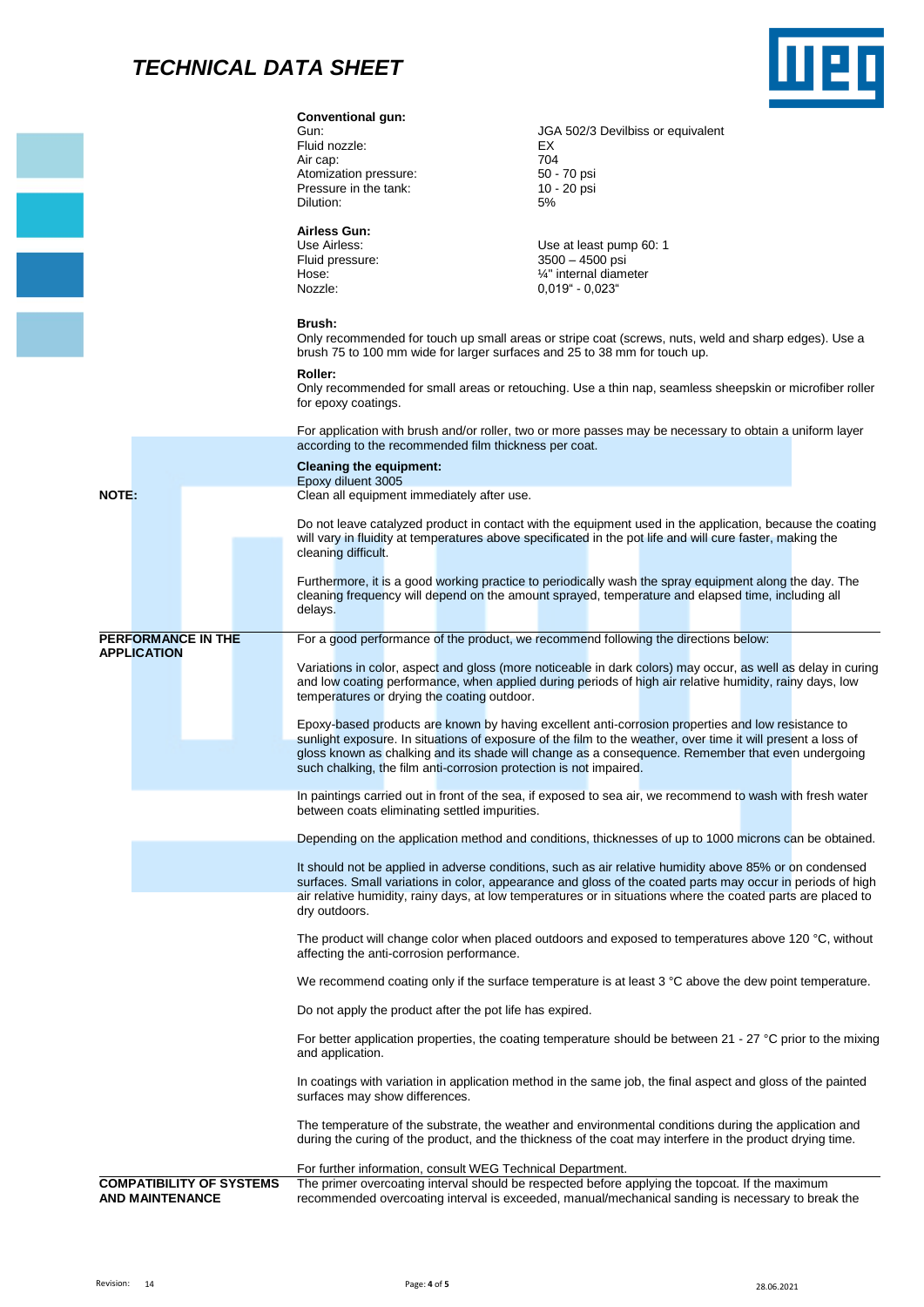## *TECHNICAL DATA SHEET*



|                                                 | <b>Conventional gun:</b><br>Gun:<br>Fluid nozzle:<br>Air cap:<br>Atomization pressure:<br>Pressure in the tank:<br>Dilution: | JGA 502/3 Devilbiss or equivalent<br>EX<br>704<br>50 - 70 psi<br>10 - 20 psi<br>5%                                                                                                                                                                                                                                                                                                                                                                                                                                                                                                                                                        |
|-------------------------------------------------|------------------------------------------------------------------------------------------------------------------------------|-------------------------------------------------------------------------------------------------------------------------------------------------------------------------------------------------------------------------------------------------------------------------------------------------------------------------------------------------------------------------------------------------------------------------------------------------------------------------------------------------------------------------------------------------------------------------------------------------------------------------------------------|
|                                                 | <b>Airless Gun:</b><br>Use Airless:<br>Fluid pressure:<br>Hose:<br>Nozzle:                                                   | Use at least pump 60: 1<br>$3500 - 4500$ psi<br>1/4" internal diameter<br>$0,019" - 0,023"$                                                                                                                                                                                                                                                                                                                                                                                                                                                                                                                                               |
|                                                 | Brush:<br>brush 75 to 100 mm wide for larger surfaces and 25 to 38 mm for touch up.                                          | Only recommended for touch up small areas or stripe coat (screws, nuts, weld and sharp edges). Use a                                                                                                                                                                                                                                                                                                                                                                                                                                                                                                                                      |
|                                                 | <b>Roller:</b><br>for epoxy coatings.                                                                                        | Only recommended for small areas or retouching. Use a thin nap, seamless sheepskin or microfiber roller                                                                                                                                                                                                                                                                                                                                                                                                                                                                                                                                   |
|                                                 | according to the recommended film thickness per coat.                                                                        | For application with brush and/or roller, two or more passes may be necessary to obtain a uniform layer                                                                                                                                                                                                                                                                                                                                                                                                                                                                                                                                   |
|                                                 | <b>Cleaning the equipment:</b><br>Epoxy diluent 3005                                                                         |                                                                                                                                                                                                                                                                                                                                                                                                                                                                                                                                                                                                                                           |
| NOTE:                                           | Clean all equipment immediately after use.<br>cleaning difficult.<br>delays.                                                 | Do not leave catalyzed product in contact with the equipment used in the application, because the coating<br>will vary in fluidity at temperatures above specificated in the pot life and will cure faster, making the<br>Furthermore, it is a good working practice to periodically wash the spray equipment along the day. The<br>cleaning frequency will depend on the amount sprayed, temperature and elapsed time, including all                                                                                                                                                                                                     |
| <b>PERFORMANCE IN THE</b><br><b>APPLICATION</b> | temperatures or drying the coating outdoor.                                                                                  | For a good performance of the product, we recommend following the directions below:<br>Variations in color, aspect and gloss (more noticeable in dark colors) may occur, as well as delay in curing<br>and low coating performance, when applied during periods of high air relative humidity, rainy days, low<br>Epoxy-based products are known by having excellent anti-corrosion properties and low resistance to<br>sunlight exposure. In situations of exposure of the film to the weather, over time it will present a loss of<br>gloss known as chalking and its shade will change as a consequence. Remember that even undergoing |
|                                                 | such chalking, the film anti-corrosion protection is not impaired.<br>between coats eliminating settled impurities.          | In paintings carried out in front of the sea, if exposed to sea air, we recommend to wash with fresh water                                                                                                                                                                                                                                                                                                                                                                                                                                                                                                                                |
|                                                 |                                                                                                                              | Depending on the application method and conditions, thicknesses of up to 1000 microns can be obtained.                                                                                                                                                                                                                                                                                                                                                                                                                                                                                                                                    |
|                                                 | dry outdoors.                                                                                                                | It should not be applied in adverse conditions, such as air relative humidity above 85% or on condensed<br>surfaces. Small variations in color, appearance and gloss of the coated parts may occur in periods of high<br>air relative humidity, rainy days, at low temperatures or in situations where the coated parts are placed to                                                                                                                                                                                                                                                                                                     |
|                                                 | affecting the anti-corrosion performance.                                                                                    | The product will change color when placed outdoors and exposed to temperatures above 120 °C, without                                                                                                                                                                                                                                                                                                                                                                                                                                                                                                                                      |
|                                                 |                                                                                                                              | We recommend coating only if the surface temperature is at least 3 °C above the dew point temperature.                                                                                                                                                                                                                                                                                                                                                                                                                                                                                                                                    |
|                                                 | Do not apply the product after the pot life has expired.                                                                     |                                                                                                                                                                                                                                                                                                                                                                                                                                                                                                                                                                                                                                           |
|                                                 | and application.                                                                                                             | For better application properties, the coating temperature should be between 21 - 27 °C prior to the mixing                                                                                                                                                                                                                                                                                                                                                                                                                                                                                                                               |
|                                                 | surfaces may show differences.                                                                                               | In coatings with variation in application method in the same job, the final aspect and gloss of the painted                                                                                                                                                                                                                                                                                                                                                                                                                                                                                                                               |
|                                                 |                                                                                                                              | The temperature of the substrate, the weather and environmental conditions during the application and<br>during the curing of the product, and the thickness of the coat may interfere in the product drying time.                                                                                                                                                                                                                                                                                                                                                                                                                        |
| <b>COMPATIBILITY OF SYSTEMS</b>                 | For further information, consult WEG Technical Department.                                                                   | The primer overcoating interval should be respected before applying the topcoat. If the maximum                                                                                                                                                                                                                                                                                                                                                                                                                                                                                                                                           |
| <b>AND MAINTENANCE</b>                          |                                                                                                                              | recommended overcoating interval is exceeded, manual/mechanical sanding is necessary to break the                                                                                                                                                                                                                                                                                                                                                                                                                                                                                                                                         |